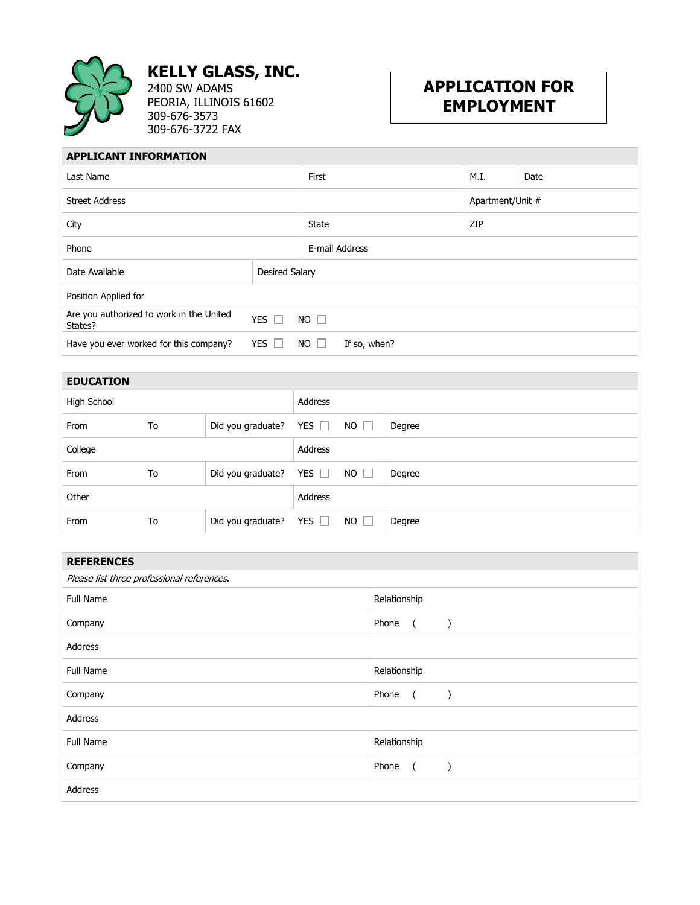

**KELLY GLASS, INC.** 2400 SW ADAMS

PEORIA, ILLINOIS 61602 309-676-3573 309-676-3722 FAX

## **APPLICATION FOR EMPLOYMENT**

## **APPLICANT INFORMATION**

| Last Name                                                                             |                           | First            | M.I. | Date |  |
|---------------------------------------------------------------------------------------|---------------------------|------------------|------|------|--|
| <b>Street Address</b>                                                                 |                           | Apartment/Unit # |      |      |  |
| City                                                                                  |                           | State            | ZIP  |      |  |
| Phone                                                                                 |                           | E-mail Address   |      |      |  |
| Date Available                                                                        | <b>Desired Salary</b>     |                  |      |      |  |
| Position Applied for                                                                  |                           |                  |      |      |  |
| Are you authorized to work in the United<br>States?                                   | YES $\Gamma$<br>$NO \Box$ |                  |      |      |  |
| Have you ever worked for this company?<br>YES $\Gamma$<br>$NO$ $\Box$<br>If so, when? |                           |                  |      |      |  |

| <b>EDUCATION</b> |    |                              |            |             |        |
|------------------|----|------------------------------|------------|-------------|--------|
| High School      |    |                              | Address    |             |        |
| From             | To | Did you graduate? YES $\Box$ |            | $NO$ $\Box$ | Degree |
| College          |    |                              | Address    |             |        |
| From             | To | Did you graduate? YES $\Box$ |            | $NO \Box$   | Degree |
| Other            |    |                              | Address    |             |        |
| From             | To | Did you graduate?            | YES $\Box$ | $NO$ $\Box$ | Degree |

| <b>REFERENCES</b>                          |                                          |  |  |
|--------------------------------------------|------------------------------------------|--|--|
| Please list three professional references. |                                          |  |  |
| <b>Full Name</b>                           | Relationship                             |  |  |
| Company                                    | Phone<br>$\overline{a}$<br>$\rightarrow$ |  |  |
| Address                                    |                                          |  |  |
| Full Name                                  | Relationship                             |  |  |
| Company                                    | Phone<br>$\sqrt{2}$<br>$\lambda$         |  |  |
| Address                                    |                                          |  |  |
| Full Name                                  | Relationship                             |  |  |
| Company                                    | Phone<br>$\overline{a}$<br>$\lambda$     |  |  |
| Address                                    |                                          |  |  |